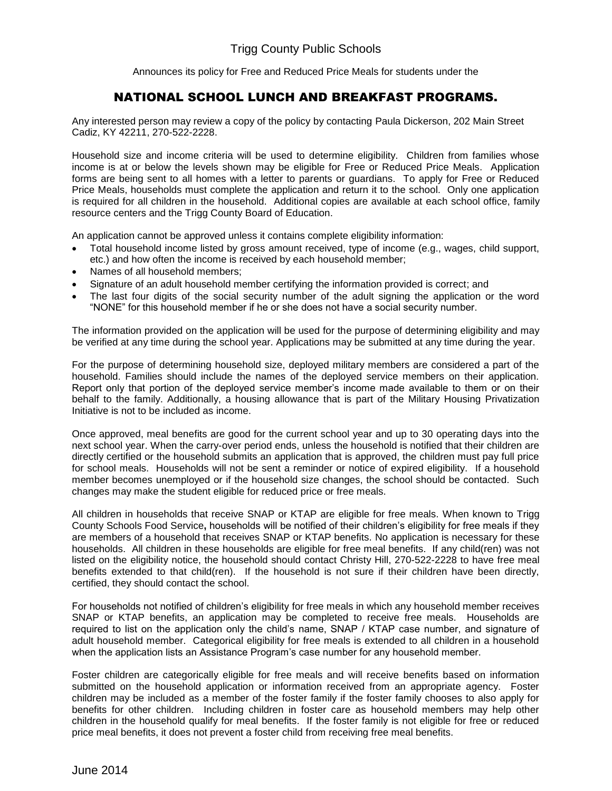Announces its policy for Free and Reduced Price Meals for students under the

## NATIONAL SCHOOL LUNCH AND BREAKFAST PROGRAMS.

Any interested person may review a copy of the policy by contacting Paula Dickerson, 202 Main Street Cadiz, KY 42211, 270-522-2228.

Household size and income criteria will be used to determine eligibility. Children from families whose income is at or below the levels shown may be eligible for Free or Reduced Price Meals. Application forms are being sent to all homes with a letter to parents or guardians. To apply for Free or Reduced Price Meals, households must complete the application and return it to the school. Only one application is required for all children in the household. Additional copies are available at each school office, family resource centers and the Trigg County Board of Education.

An application cannot be approved unless it contains complete eligibility information:

- Total household income listed by gross amount received, type of income (e.g., wages, child support, etc.) and how often the income is received by each household member;
- Names of all household members;
- Signature of an adult household member certifying the information provided is correct; and
- The last four digits of the social security number of the adult signing the application or the word "NONE" for this household member if he or she does not have a social security number.

The information provided on the application will be used for the purpose of determining eligibility and may be verified at any time during the school year. Applications may be submitted at any time during the year.

For the purpose of determining household size, deployed military members are considered a part of the household. Families should include the names of the deployed service members on their application. Report only that portion of the deployed service member's income made available to them or on their behalf to the family. Additionally, a housing allowance that is part of the Military Housing Privatization Initiative is not to be included as income.

Once approved, meal benefits are good for the current school year and up to 30 operating days into the next school year. When the carry-over period ends, unless the household is notified that their children are directly certified or the household submits an application that is approved, the children must pay full price for school meals. Households will not be sent a reminder or notice of expired eligibility. If a household member becomes unemployed or if the household size changes, the school should be contacted. Such changes may make the student eligible for reduced price or free meals.

All children in households that receive SNAP or KTAP are eligible for free meals. When known to Trigg County Schools Food Service**,** households will be notified of their children's eligibility for free meals if they are members of a household that receives SNAP or KTAP benefits. No application is necessary for these households. All children in these households are eligible for free meal benefits. If any child(ren) was not listed on the eligibility notice, the household should contact Christy Hill, 270-522-2228 to have free meal benefits extended to that child(ren). If the household is not sure if their children have been directly, certified, they should contact the school.

For households not notified of children's eligibility for free meals in which any household member receives SNAP or KTAP benefits, an application may be completed to receive free meals. Households are required to list on the application only the child's name, SNAP / KTAP case number, and signature of adult household member. Categorical eligibility for free meals is extended to all children in a household when the application lists an Assistance Program's case number for any household member.

Foster children are categorically eligible for free meals and will receive benefits based on information submitted on the household application or information received from an appropriate agency. Foster children may be included as a member of the foster family if the foster family chooses to also apply for benefits for other children. Including children in foster care as household members may help other children in the household qualify for meal benefits. If the foster family is not eligible for free or reduced price meal benefits, it does not prevent a foster child from receiving free meal benefits.